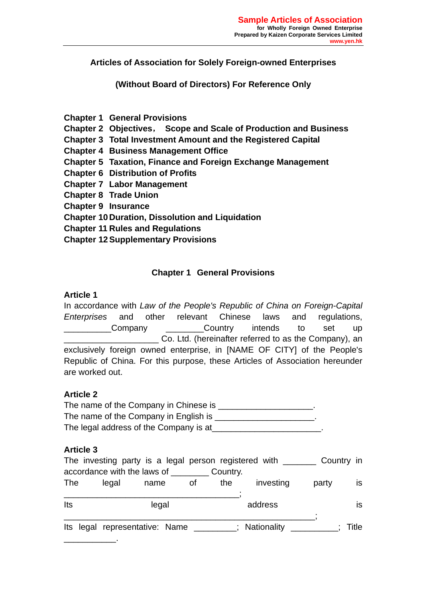**Articles of Association for Solely Foreign-owned Enterprises** 

**(Without Board of Directors) For Reference Only** 

**Chapter 1 General Provisions** 

**Chapter 2 Objectives**, **Scope and Scale of Production and Business** 

**Chapter 3 Total Investment Amount and the Registered Capital** 

**Chapter 4 Business Management Office** 

- **Chapter 5 Taxation, Finance and Foreign Exchange Management**
- **Chapter 6 Distribution of Profits**
- **Chapter 7 Labor Management**
- **Chapter 8 Trade Union**

**Chapter 9 Insurance** 

**Chapter 10 Duration, Dissolution and Liquidation** 

**Chapter 11 Rules and Regulations** 

**Chapter 12 Supplementary Provisions** 

## **Chapter 1 General Provisions**

### **Article 1**

In accordance with *Law of the People's Republic of China on Foreign-Capital Enterprises* and other relevant Chinese laws and regulations, Company **Country** intends to set up Co. Ltd. (hereinafter referred to as the Company), an exclusively foreign owned enterprise, in [NAME OF CITY] of the People's Republic of China. For this purpose, these Articles of Association hereunder are worked out.

### **Article 2**

The name of the Company in Chinese is \_\_\_\_\_\_\_\_\_\_\_\_\_\_\_\_\_\_\_\_. The name of the Company in English is The legal address of the Company is at

### **Article 3**

|            | The investing party is a legal person registered with ______ |                                                   |    |     |               |       |       |
|------------|--------------------------------------------------------------|---------------------------------------------------|----|-----|---------------|-------|-------|
|            |                                                              | accordance with the laws of ____________ Country. |    |     |               |       |       |
| <b>The</b> | legal                                                        | name                                              | 0f | the | investing     | party | is.   |
|            |                                                              |                                                   |    |     |               |       |       |
| Its        |                                                              | legal                                             |    |     | address       |       | IS.   |
|            |                                                              |                                                   |    |     |               |       |       |
|            |                                                              | Its legal representative: Name                    |    |     | : Nationality |       | Title |
|            |                                                              |                                                   |    |     |               |       |       |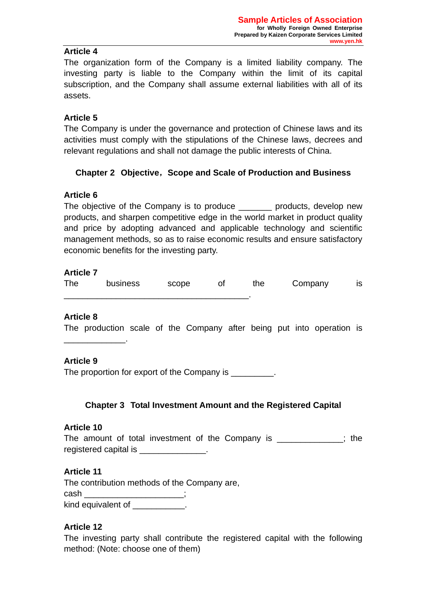### **Article 4**

The organization form of the Company is a limited liability company. The investing party is liable to the Company within the limit of its capital subscription, and the Company shall assume external liabilities with all of its assets.

### **Article 5**

The Company is under the governance and protection of Chinese laws and its activities must comply with the stipulations of the Chinese laws, decrees and relevant regulations and shall not damage the public interests of China.

## **Chapter 2 Objective**,**Scope and Scale of Production and Business**

### **Article 6**

The objective of the Company is to produce entity products, develop new products, and sharpen competitive edge in the world market in product quality and price by adopting advanced and applicable technology and scientific management methods, so as to raise economic results and ensure satisfactory economic benefits for the investing party.

### **Article 7**

| <b>The</b> | business | scope | the | Company | IS |
|------------|----------|-------|-----|---------|----|
|            |          |       |     |         |    |

### **Article 8**

The production scale of the Company after being put into operation is

### **Article 9**

\_\_\_\_\_\_\_\_\_\_\_\_\_.

The proportion for export of the Company is  $\blacksquare$ 

## **Chapter 3 Total Investment Amount and the Registered Capital**

### **Article 10**

The amount of total investment of the Company is  $\cdot$  the registered capital is \_\_\_\_\_\_\_\_\_\_\_\_\_\_.

### **Article 11**

The contribution methods of the Company are, cash \_\_\_\_\_\_\_\_\_\_\_\_\_\_\_\_\_\_\_\_\_; kind equivalent of \_\_\_\_\_\_\_\_\_\_\_\_.

## **Article 12**

The investing party shall contribute the registered capital with the following method: (Note: choose one of them)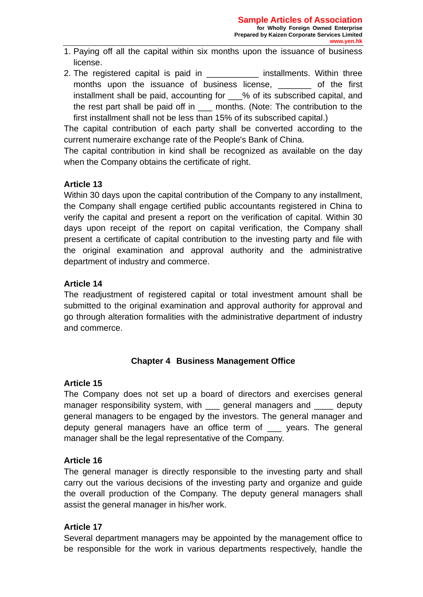- 1. Paying off all the capital within six months upon the issuance of business license.
- 2. The registered capital is paid in \_\_\_\_\_\_\_\_\_\_\_\_\_ installments. Within three months upon the issuance of business license, and the first installment shall be paid, accounting for % of its subscribed capital, and the rest part shall be paid off in \_\_\_ months. (Note: The contribution to the first installment shall not be less than 15% of its subscribed capital.)

The capital contribution of each party shall be converted according to the current numeraire exchange rate of the People's Bank of China.

The capital contribution in kind shall be recognized as available on the day when the Company obtains the certificate of right.

# **Article 13**

Within 30 days upon the capital contribution of the Company to any installment, the Company shall engage certified public accountants registered in China to verify the capital and present a report on the verification of capital. Within 30 days upon receipt of the report on capital verification, the Company shall present a certificate of capital contribution to the investing party and file with the original examination and approval authority and the administrative department of industry and commerce.

## **Article 14**

The readjustment of registered capital or total investment amount shall be submitted to the original examination and approval authority for approval and go through alteration formalities with the administrative department of industry and commerce.

# **Chapter 4 Business Management Office**

## **Article 15**

The Company does not set up a board of directors and exercises general manager responsibility system, with <u>equal managers</u> and <u>equal</u> deputy general managers to be engaged by the investors. The general manager and deputy general managers have an office term of years. The general manager shall be the legal representative of the Company.

## **Article 16**

The general manager is directly responsible to the investing party and shall carry out the various decisions of the investing party and organize and guide the overall production of the Company. The deputy general managers shall assist the general manager in his/her work.

## **Article 17**

Several department managers may be appointed by the management office to be responsible for the work in various departments respectively, handle the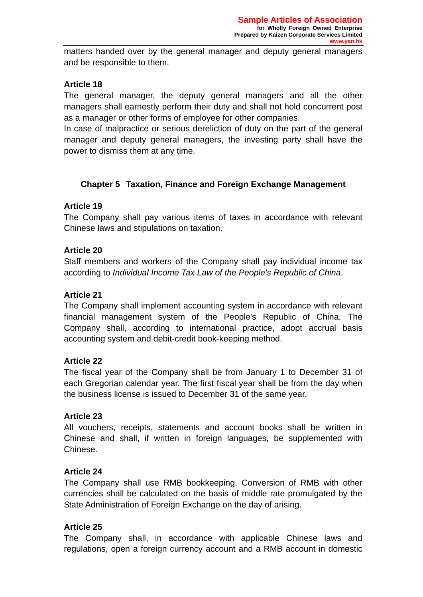matters handed over by the general manager and deputy general managers and be responsible to them.

## **Article 18**

The general manager, the deputy general managers and all the other managers shall earnestly perform their duty and shall not hold concurrent post as a manager or other forms of employee for other companies.

In case of malpractice or serious dereliction of duty on the part of the general manager and deputy general managers, the investing party shall have the power to dismiss them at any time.

## **Chapter 5 Taxation, Finance and Foreign Exchange Management**

## **Article 19**

The Company shall pay various items of taxes in accordance with relevant Chinese laws and stipulations on taxation.

## **Article 20**

Staff members and workers of the Company shall pay individual income tax according to *Individual Income Tax Law of the People's Republic of China*.

## **Article 21**

The Company shall implement accounting system in accordance with relevant financial management system of the People's Republic of China. The Company shall, according to international practice, adopt accrual basis accounting system and debit-credit book-keeping method.

## **Article 22**

The fiscal year of the Company shall be from January 1 to December 31 of each Gregorian calendar year. The first fiscal year shall be from the day when the business license is issued to December 31 of the same year.

## **Article 23**

All vouchers, receipts, statements and account books shall be written in Chinese and shall, if written in foreign languages, be supplemented with Chinese.

## **Article 24**

The Company shall use RMB bookkeeping. Conversion of RMB with other currencies shall be calculated on the basis of middle rate promulgated by the State Administration of Foreign Exchange on the day of arising.

## **Article 25**

The Company shall, in accordance with applicable Chinese laws and regulations, open a foreign currency account and a RMB account in domestic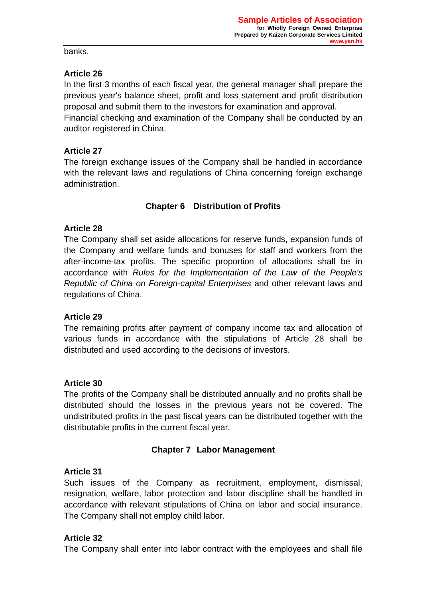banks.

# **Article 26**

In the first 3 months of each fiscal year, the general manager shall prepare the previous year's balance sheet, profit and loss statement and profit distribution proposal and submit them to the investors for examination and approval. Financial checking and examination of the Company shall be conducted by an auditor registered in China.

## **Article 27**

The foreign exchange issues of the Company shall be handled in accordance with the relevant laws and regulations of China concerning foreign exchange administration.

# **Chapter 6 Distribution of Profits**

## **Article 28**

The Company shall set aside allocations for reserve funds, expansion funds of the Company and welfare funds and bonuses for staff and workers from the after-income-tax profits. The specific proportion of allocations shall be in accordance with *Rules for the Implementation of the Law of the People's Republic of China on Foreign-capital Enterprises* and other relevant laws and regulations of China.

## **Article 29**

The remaining profits after payment of company income tax and allocation of various funds in accordance with the stipulations of Article 28 shall be distributed and used according to the decisions of investors.

# **Article 30**

The profits of the Company shall be distributed annually and no profits shall be distributed should the losses in the previous years not be covered. The undistributed profits in the past fiscal years can be distributed together with the distributable profits in the current fiscal year.

# **Chapter 7 Labor Management**

# **Article 31**

Such issues of the Company as recruitment, employment, dismissal, resignation, welfare, labor protection and labor discipline shall be handled in accordance with relevant stipulations of China on labor and social insurance. The Company shall not employ child labor.

## **Article 32**

The Company shall enter into labor contract with the employees and shall file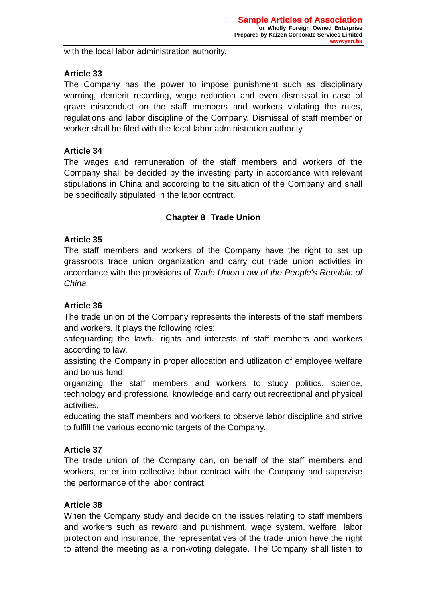with the local labor administration authority.

## **Article 33**

The Company has the power to impose punishment such as disciplinary warning, demerit recording, wage reduction and even dismissal in case of grave misconduct on the staff members and workers violating the rules, regulations and labor discipline of the Company. Dismissal of staff member or worker shall be filed with the local labor administration authority.

### **Article 34**

The wages and remuneration of the staff members and workers of the Company shall be decided by the investing party in accordance with relevant stipulations in China and according to the situation of the Company and shall be specifically stipulated in the labor contract.

## **Chapter 8 Trade Union**

## **Article 35**

The staff members and workers of the Company have the right to set up grassroots trade union organization and carry out trade union activities in accordance with the provisions of *Trade Union Law of the People's Republic of China.* 

## **Article 36**

The trade union of the Company represents the interests of the staff members and workers. It plays the following roles:

safeguarding the lawful rights and interests of staff members and workers according to law,

assisting the Company in proper allocation and utilization of employee welfare and bonus fund,

organizing the staff members and workers to study politics, science, technology and professional knowledge and carry out recreational and physical activities,

educating the staff members and workers to observe labor discipline and strive to fulfill the various economic targets of the Company.

## **Article 37**

The trade union of the Company can, on behalf of the staff members and workers, enter into collective labor contract with the Company and supervise the performance of the labor contract.

## **Article 38**

When the Company study and decide on the issues relating to staff members and workers such as reward and punishment, wage system, welfare, labor protection and insurance, the representatives of the trade union have the right to attend the meeting as a non-voting delegate. The Company shall listen to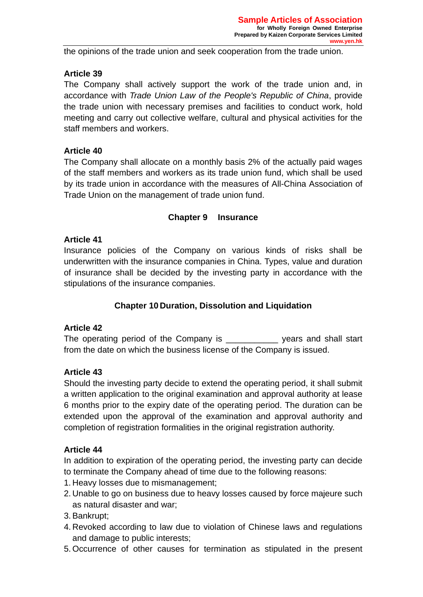the opinions of the trade union and seek cooperation from the trade union.

## **Article 39**

The Company shall actively support the work of the trade union and, in accordance with *Trade Union Law of the People's Republic of China*, provide the trade union with necessary premises and facilities to conduct work, hold meeting and carry out collective welfare, cultural and physical activities for the staff members and workers.

## **Article 40**

The Company shall allocate on a monthly basis 2% of the actually paid wages of the staff members and workers as its trade union fund, which shall be used by its trade union in accordance with the measures of All-China Association of Trade Union on the management of trade union fund.

### **Chapter 9 Insurance**

### **Article 41**

Insurance policies of the Company on various kinds of risks shall be underwritten with the insurance companies in China. Types, value and duration of insurance shall be decided by the investing party in accordance with the stipulations of the insurance companies.

## **Chapter 10 Duration, Dissolution and Liquidation**

## **Article 42**

The operating period of the Company is The vears and shall start from the date on which the business license of the Company is issued.

## **Article 43**

Should the investing party decide to extend the operating period, it shall submit a written application to the original examination and approval authority at lease 6 months prior to the expiry date of the operating period. The duration can be extended upon the approval of the examination and approval authority and completion of registration formalities in the original registration authority.

### **Article 44**

In addition to expiration of the operating period, the investing party can decide to terminate the Company ahead of time due to the following reasons:

- 1. Heavy losses due to mismanagement;
- 2. Unable to go on business due to heavy losses caused by force majeure such as natural disaster and war;
- 3. Bankrupt;
- 4. Revoked according to law due to violation of Chinese laws and regulations and damage to public interests;
- 5. Occurrence of other causes for termination as stipulated in the present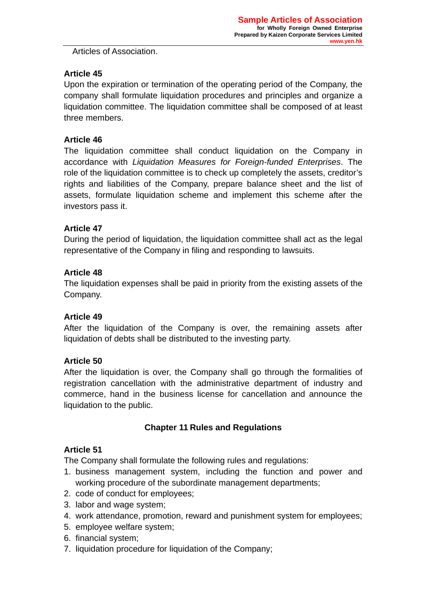Articles of Association.

## **Article 45**

Upon the expiration or termination of the operating period of the Company, the company shall formulate liquidation procedures and principles and organize a liquidation committee. The liquidation committee shall be composed of at least three members.

## **Article 46**

The liquidation committee shall conduct liquidation on the Company in accordance with *Liquidation Measures for Foreign-funded Enterprises*. The role of the liquidation committee is to check up completely the assets, creditor's rights and liabilities of the Company, prepare balance sheet and the list of assets, formulate liquidation scheme and implement this scheme after the investors pass it.

## **Article 47**

During the period of liquidation, the liquidation committee shall act as the legal representative of the Company in filing and responding to lawsuits.

## **Article 48**

The liquidation expenses shall be paid in priority from the existing assets of the Company.

## **Article 49**

After the liquidation of the Company is over, the remaining assets after liquidation of debts shall be distributed to the investing party.

# **Article 50**

After the liquidation is over, the Company shall go through the formalities of registration cancellation with the administrative department of industry and commerce, hand in the business license for cancellation and announce the liquidation to the public.

# **Chapter 11 Rules and Regulations**

# **Article 51**

The Company shall formulate the following rules and regulations:

- 1. business management system, including the function and power and working procedure of the subordinate management departments;
- 2. code of conduct for employees;
- 3. labor and wage system;
- 4. work attendance, promotion, reward and punishment system for employees;
- 5. employee welfare system;
- 6. financial system;
- 7. liquidation procedure for liquidation of the Company;